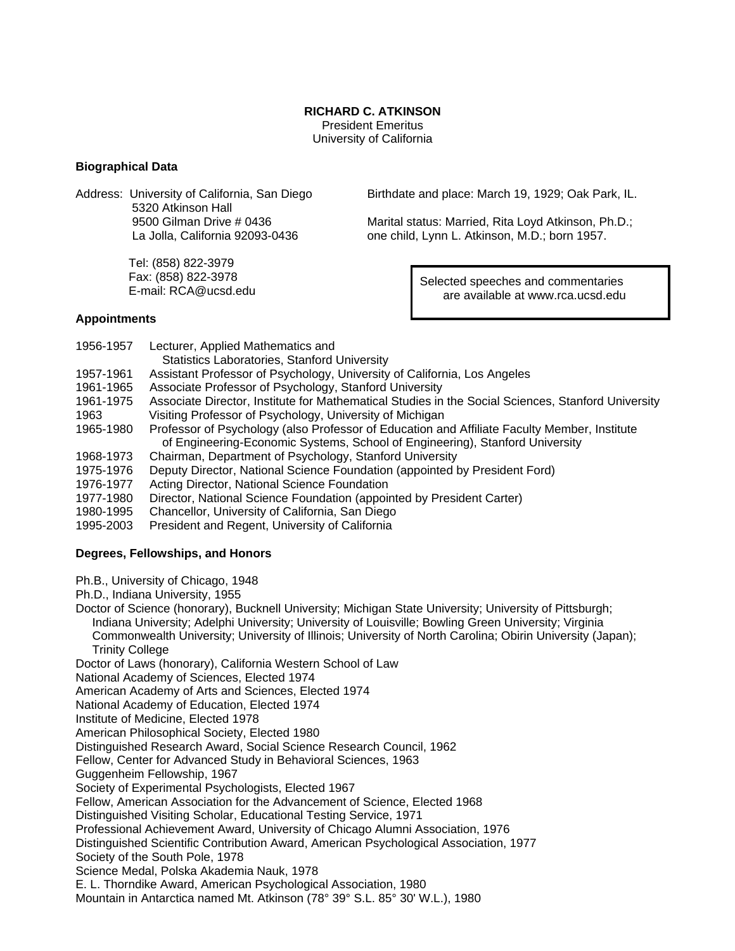#### **RICHARD C. ATKINSON**

 President Emeritus University of California

## **Biographical Data**

Address: University of California, San Diego 5320 Atkinson Hall 9500 Gilman Drive # 0436 La Jolla, California 92093-0436

> Tel: (858) 822-3979 Fax: (858) 822-3978 E-mail: RCA@ucsd.edu

Birthdate and place: March 19, 1929; Oak Park, IL.

Marital status: Married, Rita Loyd Atkinson, Ph.D.; one child, Lynn L. Atkinson, M.D.; born 1957.

> Selected speeches and commentaries are available at www.rca.ucsd.edu

## **Appointments**

- 1956-1957 Lecturer, Applied Mathematics and Statistics Laboratories, Stanford University 1957-1961 Assistant Professor of Psychology, University of California, Los Angeles
- 1961-1965 Associate Professor of Psychology, Stanford University
- 1961-1975 Associate Director, Institute for Mathematical Studies in the Social Sciences, Stanford University 1963 Visiting Professor of Psychology, University of Michigan
- 1965-1980 Professor of Psychology (also Professor of Education and Affiliate Faculty Member, Institute of Engineering-Economic Systems, School of Engineering), Stanford University
- 1968-1973 Chairman, Department of Psychology, Stanford University
- 1975-1976 Deputy Director, National Science Foundation (appointed by President Ford)
- 1976-1977 Acting Director, National Science Foundation
- 1977-1980 Director, National Science Foundation (appointed by President Carter)
- 1980-1995 Chancellor, University of California, San Diego
- 1995-2003 President and Regent, University of California

# **Degrees, Fellowships, and Honors**

- Ph.B., University of Chicago, 1948
- Ph.D., Indiana University, 1955

Doctor of Science (honorary), Bucknell University; Michigan State University; University of Pittsburgh; Indiana University; Adelphi University; University of Louisville; Bowling Green University; Virginia Commonwealth University; University of Illinois; University of North Carolina; Obirin University (Japan); Trinity College

Doctor of Laws (honorary), California Western School of Law

National Academy of Sciences, Elected 1974

American Academy of Arts and Sciences, Elected 1974

National Academy of Education, Elected 1974

Institute of Medicine, Elected 1978

American Philosophical Society, Elected 1980

Distinguished Research Award, Social Science Research Council, 1962

Fellow, Center for Advanced Study in Behavioral Sciences, 1963

Guggenheim Fellowship, 1967

Society of Experimental Psychologists, Elected 1967

Fellow, American Association for the Advancement of Science, Elected 1968

Distinguished Visiting Scholar, Educational Testing Service, 1971

Professional Achievement Award, University of Chicago Alumni Association, 1976

Distinguished Scientific Contribution Award, American Psychological Association, 1977

Society of the South Pole, 1978

Science Medal, Polska Akademia Nauk, 1978

E. L. Thorndike Award, American Psychological Association, 1980

Mountain in Antarctica named Mt. Atkinson (78° 39° S.L. 85° 30' W.L.), 1980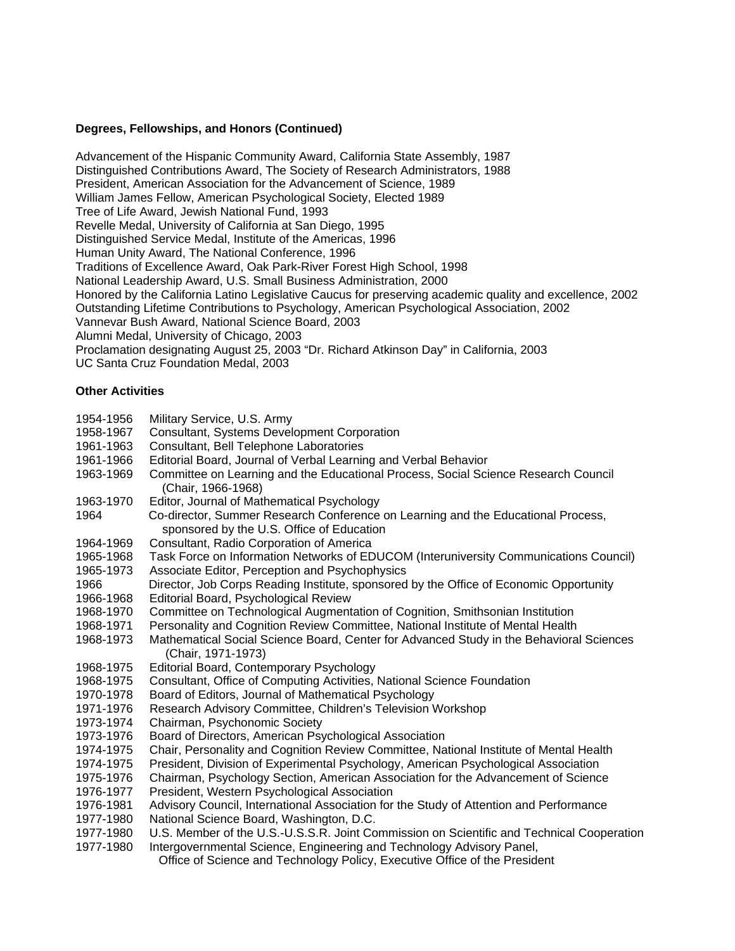### **Degrees, Fellowships, and Honors (Continued)**

Advancement of the Hispanic Community Award, California State Assembly, 1987 Distinguished Contributions Award, The Society of Research Administrators, 1988 President, American Association for the Advancement of Science, 1989 William James Fellow, American Psychological Society, Elected 1989 Tree of Life Award, Jewish National Fund, 1993 Revelle Medal, University of California at San Diego, 1995 Distinguished Service Medal, Institute of the Americas, 1996 Human Unity Award, The National Conference, 1996 Traditions of Excellence Award, Oak Park-River Forest High School, 1998 National Leadership Award, U.S. Small Business Administration, 2000 Honored by the California Latino Legislative Caucus for preserving academic quality and excellence, 2002 Outstanding Lifetime Contributions to Psychology, American Psychological Association, 2002 Vannevar Bush Award, National Science Board, 2003 Alumni Medal, University of Chicago, 2003 Proclamation designating August 25, 2003 "Dr. Richard Atkinson Day" in California, 2003 UC Santa Cruz Foundation Medal, 2003

## **Other Activities**

| 1954-1956 | Military Service, U.S. Army                                                                                                   |
|-----------|-------------------------------------------------------------------------------------------------------------------------------|
| 1958-1967 | <b>Consultant, Systems Development Corporation</b>                                                                            |
| 1961-1963 | Consultant, Bell Telephone Laboratories                                                                                       |
| 1961-1966 | Editorial Board, Journal of Verbal Learning and Verbal Behavior                                                               |
| 1963-1969 | Committee on Learning and the Educational Process, Social Science Research Council                                            |
|           | (Chair, 1966-1968)                                                                                                            |
| 1963-1970 | Editor, Journal of Mathematical Psychology                                                                                    |
| 1964      | Co-director, Summer Research Conference on Learning and the Educational Process,<br>sponsored by the U.S. Office of Education |
| 1964-1969 | Consultant, Radio Corporation of America                                                                                      |
| 1965-1968 | Task Force on Information Networks of EDUCOM (Interuniversity Communications Council)                                         |
| 1965-1973 | Associate Editor, Perception and Psychophysics                                                                                |
| 1966      | Director, Job Corps Reading Institute, sponsored by the Office of Economic Opportunity                                        |
| 1966-1968 | Editorial Board, Psychological Review                                                                                         |
| 1968-1970 | Committee on Technological Augmentation of Cognition, Smithsonian Institution                                                 |
| 1968-1971 | Personality and Cognition Review Committee, National Institute of Mental Health                                               |
| 1968-1973 | Mathematical Social Science Board, Center for Advanced Study in the Behavioral Sciences                                       |
|           | (Chair, 1971-1973)                                                                                                            |
| 1968-1975 | Editorial Board, Contemporary Psychology                                                                                      |
| 1968-1975 | Consultant, Office of Computing Activities, National Science Foundation                                                       |
| 1970-1978 | Board of Editors, Journal of Mathematical Psychology                                                                          |
| 1971-1976 | Research Advisory Committee, Children's Television Workshop                                                                   |
| 1973-1974 | Chairman, Psychonomic Society                                                                                                 |
| 1973-1976 | Board of Directors, American Psychological Association                                                                        |
| 1974-1975 | Chair, Personality and Cognition Review Committee, National Institute of Mental Health                                        |
| 1974-1975 | President, Division of Experimental Psychology, American Psychological Association                                            |
| 1975-1976 | Chairman, Psychology Section, American Association for the Advancement of Science                                             |
| 1976-1977 | President, Western Psychological Association                                                                                  |
| 1976-1981 | Advisory Council, International Association for the Study of Attention and Performance                                        |
| 1977-1980 | National Science Board, Washington, D.C.                                                                                      |
| 1977-1980 | U.S. Member of the U.S.-U.S.S.R. Joint Commission on Scientific and Technical Cooperation                                     |
| 1977-1980 | Intergovernmental Science, Engineering and Technology Advisory Panel,                                                         |
|           | Office of Science and Technology Policy, Executive Office of the President                                                    |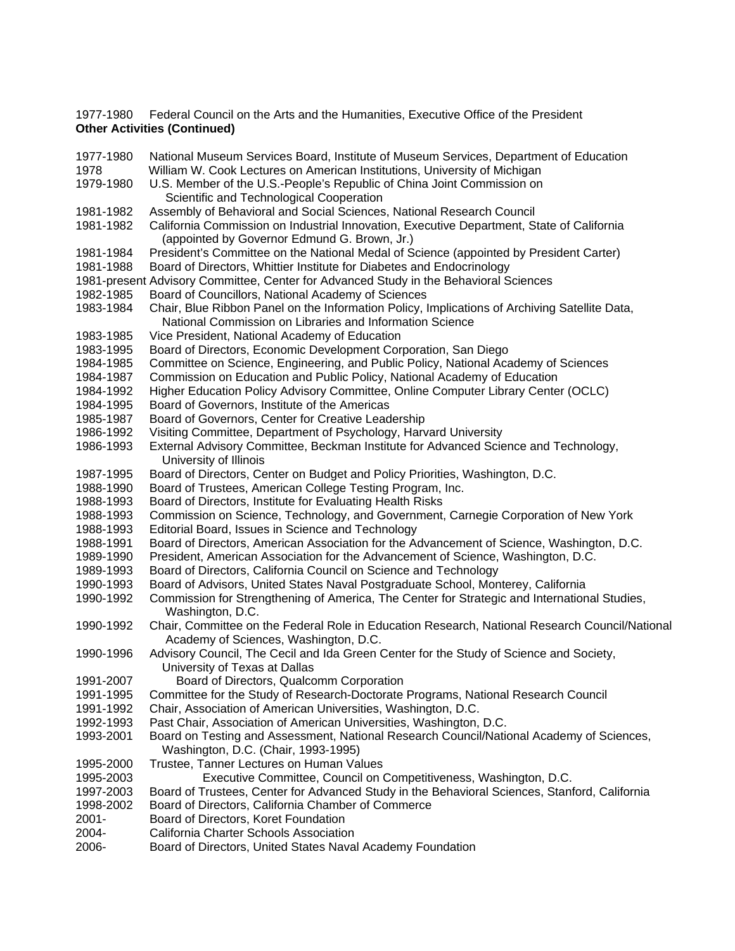1977-1980 Federal Council on the Arts and the Humanities, Executive Office of the President **Other Activities (Continued)**

1977-1980 National Museum Services Board, Institute of Museum Services, Department of Education 1978 William W. Cook Lectures on American Institutions, University of Michigan 1979-1980 U.S. Member of the U.S.-People's Republic of China Joint Commission on Scientific and Technological Cooperation 1981-1982 Assembly of Behavioral and Social Sciences, National Research Council 1981-1982 California Commission on Industrial Innovation, Executive Department, State of California (appointed by Governor Edmund G. Brown, Jr.) 1981-1984 President's Committee on the National Medal of Science (appointed by President Carter) 1981-1988 Board of Directors, Whittier Institute for Diabetes and Endocrinology 1981-present Advisory Committee, Center for Advanced Study in the Behavioral Sciences 1982-1985 Board of Councillors, National Academy of Sciences 1983-1984 Chair, Blue Ribbon Panel on the Information Policy, Implications of Archiving Satellite Data, National Commission on Libraries and Information Science 1983-1985 Vice President, National Academy of Education 1983-1995 Board of Directors, Economic Development Corporation, San Diego 1984-1985 Committee on Science, Engineering, and Public Policy, National Academy of Sciences 1984-1987 Commission on Education and Public Policy, National Academy of Education 1984-1992 Higher Education Policy Advisory Committee, Online Computer Library Center (OCLC) 1984-1995 Board of Governors, Institute of the Americas 1985-1987 Board of Governors, Center for Creative Leadership 1986-1992 Visiting Committee, Department of Psychology, Harvard University 1986-1993 External Advisory Committee, Beckman Institute for Advanced Science and Technology, University of Illinois 1987-1995 Board of Directors, Center on Budget and Policy Priorities, Washington, D.C. 1988-1990 Board of Trustees, American College Testing Program, Inc. 1988-1993 Board of Directors, Institute for Evaluating Health Risks 1988-1993 Commission on Science, Technology, and Government, Carnegie Corporation of New York 1988-1993 Editorial Board, Issues in Science and Technology 1988-1991 Board of Directors, American Association for the Advancement of Science, Washington, D.C. 1989-1990 President, American Association for the Advancement of Science, Washington, D.C. 1989-1993 Board of Directors, California Council on Science and Technology 1990-1993 Board of Advisors, United States Naval Postgraduate School, Monterey, California 1990-1992 Commission for Strengthening of America, The Center for Strategic and International Studies, Washington, D.C. 1990-1992 Chair, Committee on the Federal Role in Education Research, National Research Council/National Academy of Sciences, Washington, D.C. 1990-1996 Advisory Council, The Cecil and Ida Green Center for the Study of Science and Society, University of Texas at Dallas 1991-2007 Board of Directors, Qualcomm Corporation 1991-1995 Committee for the Study of Research-Doctorate Programs, National Research Council 1991-1992 Chair, Association of American Universities, Washington, D.C. 1992-1993 Past Chair, Association of American Universities, Washington, D.C. 1993-2001 Board on Testing and Assessment, National Research Council/National Academy of Sciences, Washington, D.C. (Chair, 1993-1995) 1995-2000 Trustee, Tanner Lectures on Human Values 1995-2003 Executive Committee, Council on Competitiveness, Washington, D.C. 1997-2003 Board of Trustees, Center for Advanced Study in the Behavioral Sciences, Stanford, California 1998-2002 Board of Directors, California Chamber of Commerce 2001- Board of Directors, Koret Foundation 2004- California Charter Schools Association 2006- Board of Directors, United States Naval Academy Foundation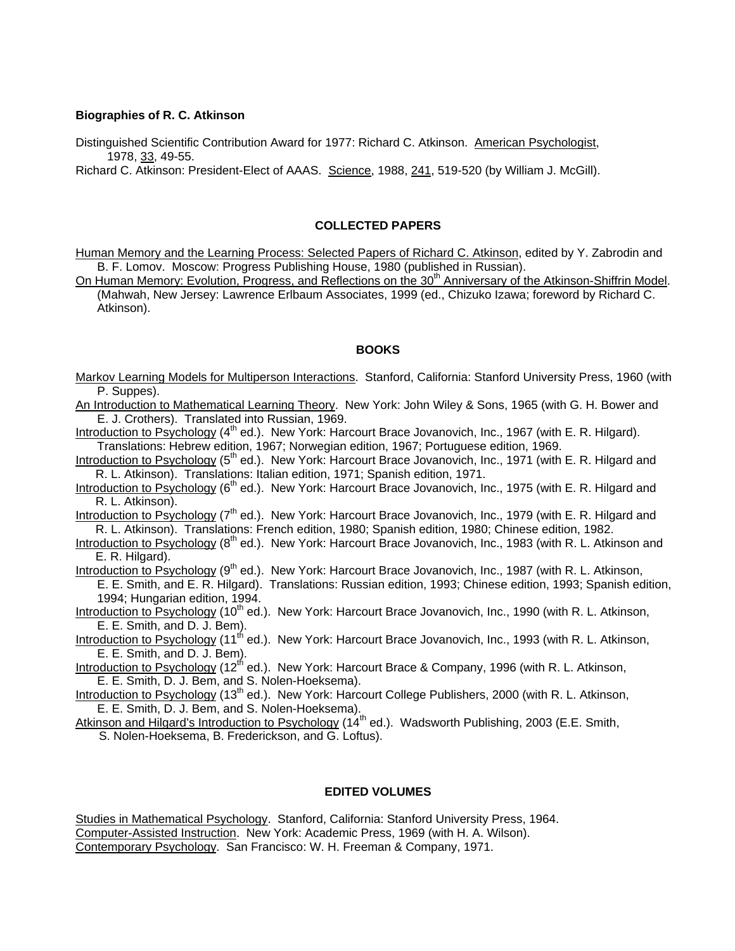### **Biographies of R. C. Atkinson**

Distinguished Scientific Contribution Award for 1977: Richard C. Atkinson. American Psychologist, 1978, 33, 49-55.

Richard C. Atkinson: President-Elect of AAAS. Science, 1988, 241, 519-520 (by William J. McGill).

#### **COLLECTED PAPERS**

Human Memory and the Learning Process: Selected Papers of Richard C. Atkinson, edited by Y. Zabrodin and B. F. Lomov. Moscow: Progress Publishing House, 1980 (published in Russian).

On Human Memory: Evolution, Progress, and Reflections on the 30<sup>th</sup> Anniversary of the Atkinson-Shiffrin Model. (Mahwah, New Jersey: Lawrence Erlbaum Associates, 1999 (ed., Chizuko Izawa; foreword by Richard C. Atkinson).

### **BOOKS**

Markov Learning Models for Multiperson Interactions. Stanford, California: Stanford University Press, 1960 (with P. Suppes).

An Introduction to Mathematical Learning Theory. New York: John Wiley & Sons, 1965 (with G. H. Bower and E. J. Crothers). Translated into Russian, 1969.

Introduction to Psychology (4<sup>th</sup> ed.). New York: Harcourt Brace Jovanovich, Inc., 1967 (with E. R. Hilgard). Translations: Hebrew edition, 1967; Norwegian edition, 1967; Portuguese edition, 1969.

Introduction to Psychology (5<sup>th</sup> ed.). New York: Harcourt Brace Jovanovich, Inc., 1971 (with E. R. Hilgard and R. L. Atkinson). Translations: Italian edition, 1971; Spanish edition, 1971.

Introduction to Psychology  $(6<sup>th</sup>$  ed.). New York: Harcourt Brace Jovanovich, Inc., 1975 (with E. R. Hilgard and R. L. Atkinson).

Introduction to Psychology (7<sup>th</sup> ed.). New York: Harcourt Brace Jovanovich, Inc., 1979 (with E. R. Hilgard and R. L. Atkinson). Translations: French edition, 1980; Spanish edition, 1980; Chinese edition, 1982.

Introduction to Psychology (8<sup>th</sup> ed.). New York: Harcourt Brace Jovanovich, Inc., 1983 (with R. L. Atkinson and E. R. Hilgard).

Introduction to Psychology  $(9<sup>th</sup>$  ed.). New York: Harcourt Brace Jovanovich, Inc., 1987 (with R. L. Atkinson,

E. E. Smith, and E. R. Hilgard). Translations: Russian edition, 1993; Chinese edition, 1993; Spanish edition, 1994; Hungarian edition, 1994.

Introduction to Psychology (10<sup>th</sup> ed.). New York: Harcourt Brace Jovanovich, Inc., 1990 (with R. L. Atkinson, E. E. Smith, and D. J. Bem).

Introduction to Psychology (11<sup>th</sup> ed.). New York: Harcourt Brace Jovanovich, Inc., 1993 (with R. L. Atkinson, E. E. Smith, and D. J. Bem).

Introduction to Psychology (12<sup>th</sup> ed.). New York: Harcourt Brace & Company, 1996 (with R. L. Atkinson, E. E. Smith, D. J. Bem, and S. Nolen-Hoeksema).

Introduction to Psychology (13<sup>th</sup> ed.). New York: Harcourt College Publishers, 2000 (with R. L. Atkinson, E. E. Smith, D. J. Bem, and S. Nolen-Hoeksema).

Atkinson and Hilgard's Introduction to Psychology (14<sup>th</sup> ed.). Wadsworth Publishing, 2003 (E.E. Smith,

S. Nolen-Hoeksema, B. Frederickson, and G. Loftus).

### **EDITED VOLUMES**

Studies in Mathematical Psychology. Stanford, California: Stanford University Press, 1964. Computer-Assisted Instruction. New York: Academic Press, 1969 (with H. A. Wilson). Contemporary Psychology. San Francisco: W. H. Freeman & Company, 1971.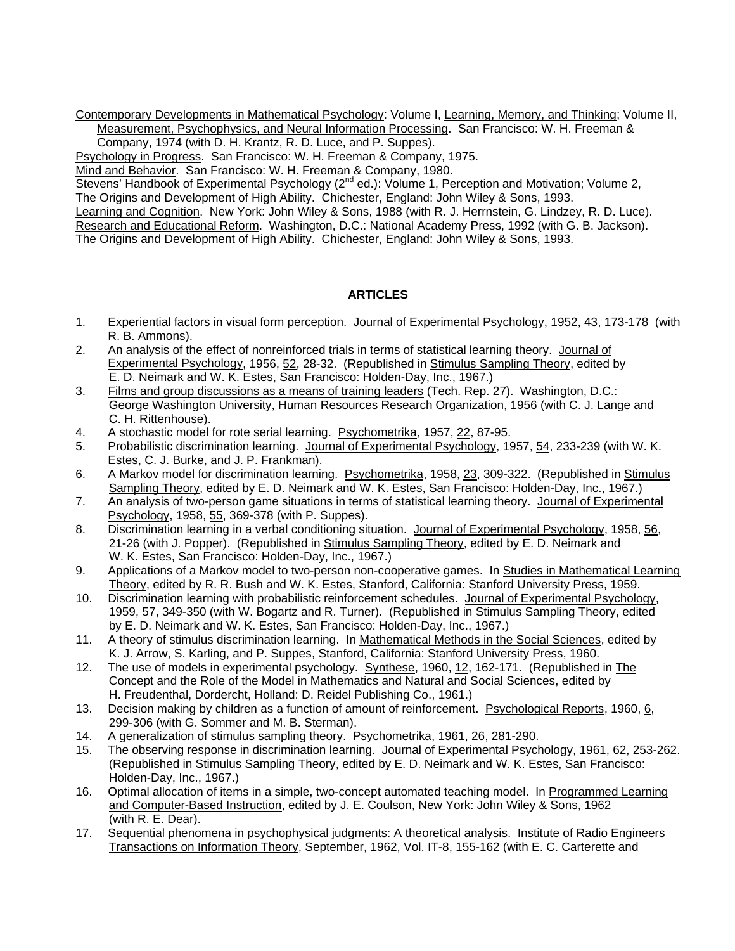Contemporary Developments in Mathematical Psychology: Volume I, Learning, Memory, and Thinking; Volume II, Measurement, Psychophysics, and Neural Information Processing. San Francisco: W. H. Freeman &

Company, 1974 (with D. H. Krantz, R. D. Luce, and P. Suppes).

Psychology in Progress. San Francisco: W. H. Freeman & Company, 1975.

Mind and Behavior. San Francisco: W. H. Freeman & Company, 1980.

Stevens' Handbook of Experimental Psychology (2<sup>nd</sup> ed.): Volume 1, Perception and Motivation; Volume 2, The Origins and Development of High Ability. Chichester, England: John Wiley & Sons, 1993.

Learning and Cognition. New York: John Wiley & Sons, 1988 (with R. J. Herrnstein, G. Lindzey, R. D. Luce). Research and Educational Reform. Washington, D.C.: National Academy Press, 1992 (with G. B. Jackson). The Origins and Development of High Ability. Chichester, England: John Wiley & Sons, 1993.

# **ARTICLES**

- 1. Experiential factors in visual form perception. Journal of Experimental Psychology, 1952, 43, 173-178 (with R. B. Ammons).
- 2. An analysis of the effect of nonreinforced trials in terms of statistical learning theory. Journal of Experimental Psychology, 1956, 52, 28-32. (Republished in Stimulus Sampling Theory, edited by E. D. Neimark and W. K. Estes, San Francisco: Holden-Day, Inc., 1967.)
- 3. Films and group discussions as a means of training leaders (Tech. Rep. 27). Washington, D.C.: George Washington University, Human Resources Research Organization, 1956 (with C. J. Lange and C. H. Rittenhouse).
- 4. A stochastic model for rote serial learning. Psychometrika, 1957, 22, 87-95.
- 5. Probabilistic discrimination learning. Journal of Experimental Psychology, 1957, 54, 233-239 (with W. K. Estes, C. J. Burke, and J. P. Frankman).
- 6. A Markov model for discrimination learning. Psychometrika, 1958, 23, 309-322. (Republished in Stimulus Sampling Theory, edited by E. D. Neimark and W. K. Estes, San Francisco: Holden-Day, Inc., 1967.)
- 7. An analysis of two-person game situations in terms of statistical learning theory. Journal of Experimental Psychology, 1958, 55, 369-378 (with P. Suppes).
- 8. Discrimination learning in a verbal conditioning situation. Journal of Experimental Psychology, 1958, 56, 21-26 (with J. Popper). (Republished in Stimulus Sampling Theory, edited by E. D. Neimark and W. K. Estes, San Francisco: Holden-Day, Inc., 1967.)
- 9. Applications of a Markov model to two-person non-cooperative games. In Studies in Mathematical Learning Theory, edited by R. R. Bush and W. K. Estes, Stanford, California: Stanford University Press, 1959.
- 10. Discrimination learning with probabilistic reinforcement schedules. Journal of Experimental Psychology, 1959, 57, 349-350 (with W. Bogartz and R. Turner). (Republished in Stimulus Sampling Theory, edited by E. D. Neimark and W. K. Estes, San Francisco: Holden-Day, Inc., 1967.)
- 11. A theory of stimulus discrimination learning. In Mathematical Methods in the Social Sciences, edited by K. J. Arrow, S. Karling, and P. Suppes, Stanford, California: Stanford University Press, 1960.
- 12. The use of models in experimental psychology. Synthese, 1960, 12, 162-171. (Republished in The Concept and the Role of the Model in Mathematics and Natural and Social Sciences, edited by H. Freudenthal, Dordercht, Holland: D. Reidel Publishing Co., 1961.)
- 13. Decision making by children as a function of amount of reinforcement. Psychological Reports, 1960, 6, 299-306 (with G. Sommer and M. B. Sterman).
- 14. A generalization of stimulus sampling theory. Psychometrika, 1961, 26, 281-290.
- 15. The observing response in discrimination learning. Journal of Experimental Psychology, 1961, 62, 253-262. (Republished in Stimulus Sampling Theory, edited by E. D. Neimark and W. K. Estes, San Francisco: Holden-Day, Inc., 1967.)
- 16. Optimal allocation of items in a simple, two-concept automated teaching model. In Programmed Learning and Computer-Based Instruction, edited by J. E. Coulson, New York: John Wiley & Sons, 1962 (with R. E. Dear).
- 17. Sequential phenomena in psychophysical judgments: A theoretical analysis. Institute of Radio Engineers Transactions on Information Theory, September, 1962, Vol. IT-8, 155-162 (with E. C. Carterette and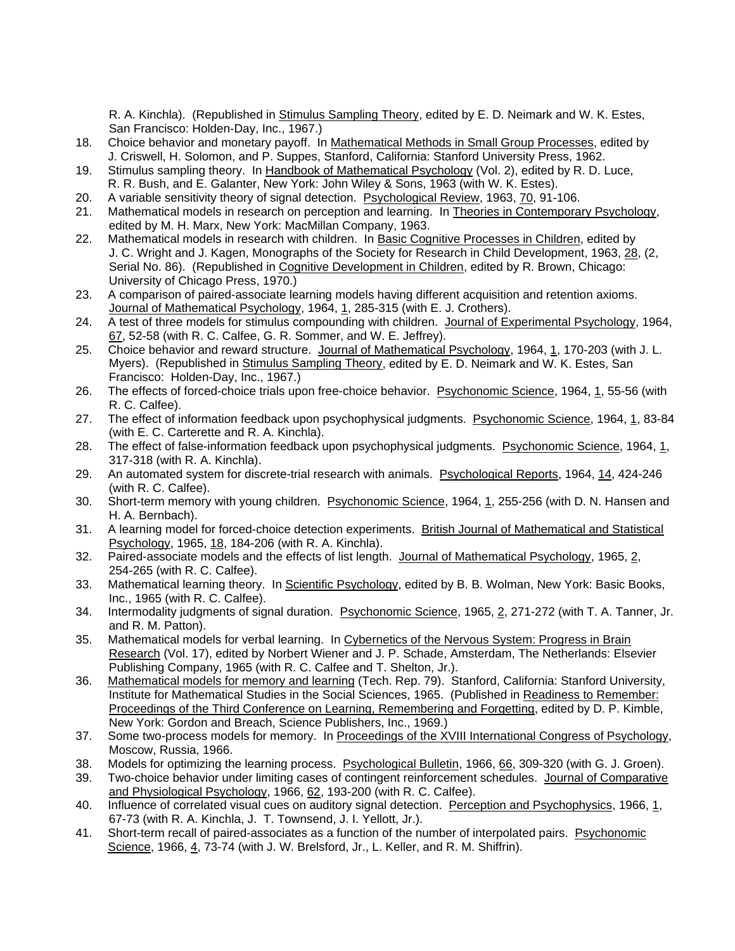R. A. Kinchla). (Republished in Stimulus Sampling Theory, edited by E. D. Neimark and W. K. Estes, San Francisco: Holden-Day, Inc., 1967.)

- 18. Choice behavior and monetary payoff. In Mathematical Methods in Small Group Processes, edited by J. Criswell, H. Solomon, and P. Suppes, Stanford, California: Stanford University Press, 1962.
- 19. Stimulus sampling theory. In Handbook of Mathematical Psychology (Vol. 2), edited by R. D. Luce, R. R. Bush, and E. Galanter, New York: John Wiley & Sons, 1963 (with W. K. Estes).
- 20. A variable sensitivity theory of signal detection. Psychological Review, 1963, 70, 91-106.
- 21. Mathematical models in research on perception and learning. In Theories in Contemporary Psychology, edited by M. H. Marx, New York: MacMillan Company, 1963.<br>22. Mathematical models in research with children. In Basic Cog
- 22. Mathematical models in research with children. In Basic Cognitive Processes in Children, edited by J. C. Wright and J. Kagen, Monographs of the Society for Research in Child Development, 1963, 28, (2, Serial No. 86). (Republished in Cognitive Development in Children, edited by R. Brown, Chicago: University of Chicago Press, 1970.)
- 23. A comparison of paired-associate learning models having different acquisition and retention axioms. Journal of Mathematical Psychology, 1964, 1, 285-315 (with E. J. Crothers).
- 24. A test of three models for stimulus compounding with children. Journal of Experimental Psychology, 1964, 67, 52-58 (with R. C. Calfee, G. R. Sommer, and W. E. Jeffrey).
- 25. Choice behavior and reward structure. Journal of Mathematical Psychology, 1964, 1, 170-203 (with J. L. Myers). (Republished in Stimulus Sampling Theory, edited by E. D. Neimark and W. K. Estes, San Francisco: Holden-Day, Inc., 1967.)
- 26. The effects of forced-choice trials upon free-choice behavior. Psychonomic Science, 1964, 1, 55-56 (with R. C. Calfee).
- 27. The effect of information feedback upon psychophysical judgments. Psychonomic Science, 1964, 1, 83-84 (with E. C. Carterette and R. A. Kinchla).
- 28. The effect of false-information feedback upon psychophysical judgments. Psychonomic Science, 1964, 1, 317-318 (with R. A. Kinchla).
- 29. An automated system for discrete-trial research with animals. Psychological Reports, 1964, 14, 424-246 (with R. C. Calfee).
- 30. Short-term memory with young children. Psychonomic Science, 1964, 1, 255-256 (with D. N. Hansen and H. A. Bernbach).
- 31. A learning model for forced-choice detection experiments. British Journal of Mathematical and Statistical Psychology, 1965, 18, 184-206 (with R. A. Kinchla).
- 32. Paired-associate models and the effects of list length. Journal of Mathematical Psychology, 1965, 2, 254-265 (with R. C. Calfee).
- 33. Mathematical learning theory. In Scientific Psychology, edited by B. B. Wolman, New York: Basic Books, Inc., 1965 (with R. C. Calfee).
- 34. Intermodality judgments of signal duration. Psychonomic Science, 1965, 2, 271-272 (with T. A. Tanner, Jr. and R. M. Patton).
- 35. Mathematical models for verbal learning. In Cybernetics of the Nervous System: Progress in Brain Research (Vol. 17), edited by Norbert Wiener and J. P. Schade, Amsterdam, The Netherlands: Elsevier Publishing Company, 1965 (with R. C. Calfee and T. Shelton, Jr.).
- 36. Mathematical models for memory and learning (Tech. Rep. 79). Stanford, California: Stanford University, Institute for Mathematical Studies in the Social Sciences, 1965. (Published in Readiness to Remember: Proceedings of the Third Conference on Learning, Remembering and Forgetting, edited by D. P. Kimble, New York: Gordon and Breach, Science Publishers, Inc., 1969.)
- 37. Some two-process models for memory. In Proceedings of the XVIII International Congress of Psychology, Moscow, Russia, 1966.
- 38. Models for optimizing the learning process. Psychological Bulletin, 1966, 66, 309-320 (with G. J. Groen).
- 39. Two-choice behavior under limiting cases of contingent reinforcement schedules. Journal of Comparative and Physiological Psychology, 1966, 62, 193-200 (with R. C. Calfee).
- 40. Influence of correlated visual cues on auditory signal detection. Perception and Psychophysics, 1966, 1, 67-73 (with R. A. Kinchla, J. T. Townsend, J. I. Yellott, Jr.).
- 41. Short-term recall of paired-associates as a function of the number of interpolated pairs. Psychonomic Science, 1966, 4, 73-74 (with J. W. Brelsford, Jr., L. Keller, and R. M. Shiffrin).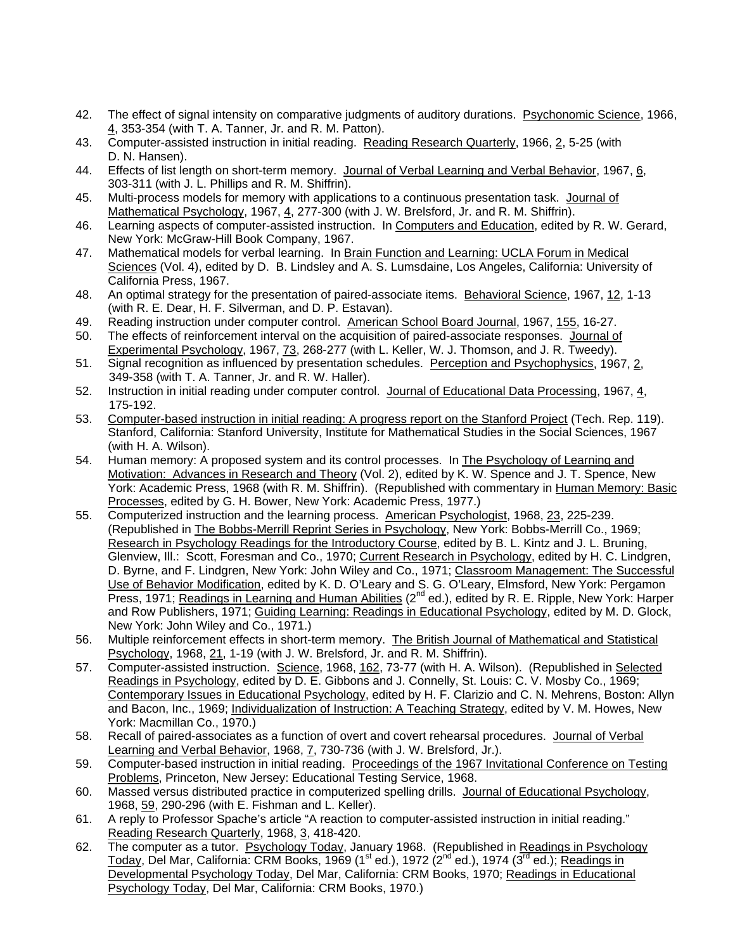- 42. The effect of signal intensity on comparative judgments of auditory durations. Psychonomic Science, 1966, 4, 353-354 (with T. A. Tanner, Jr. and R. M. Patton).
- 43. Computer-assisted instruction in initial reading. Reading Research Quarterly, 1966, 2, 5-25 (with D. N. Hansen).
- 44. Effects of list length on short-term memory. Journal of Verbal Learning and Verbal Behavior, 1967, 6, 303-311 (with J. L. Phillips and R. M. Shiffrin).
- 45. Multi-process models for memory with applications to a continuous presentation task. Journal of Mathematical Psychology, 1967, 4, 277-300 (with J. W. Brelsford, Jr. and R. M. Shiffrin).
- 46. Learning aspects of computer-assisted instruction. In Computers and Education, edited by R. W. Gerard, New York: McGraw-Hill Book Company, 1967.
- 47. Mathematical models for verbal learning. In Brain Function and Learning: UCLA Forum in Medical Sciences (Vol. 4), edited by D. B. Lindsley and A. S. Lumsdaine, Los Angeles, California: University of California Press, 1967.
- 48. An optimal strategy for the presentation of paired-associate items. Behavioral Science, 1967, 12, 1-13 (with R. E. Dear, H. F. Silverman, and D. P. Estavan).
- 49. Reading instruction under computer control. American School Board Journal, 1967, 155, 16-27.
- 50. The effects of reinforcement interval on the acquisition of paired-associate responses. Journal of Experimental Psychology, 1967, 73, 268-277 (with L. Keller, W. J. Thomson, and J. R. Tweedy).
- 51. Signal recognition as influenced by presentation schedules. Perception and Psychophysics, 1967, 2, 349-358 (with T. A. Tanner, Jr. and R. W. Haller).
- 52. Instruction in initial reading under computer control. Journal of Educational Data Processing, 1967, 4, 175-192.
- 53. Computer-based instruction in initial reading: A progress report on the Stanford Project (Tech. Rep. 119). Stanford, California: Stanford University, Institute for Mathematical Studies in the Social Sciences, 1967 (with H. A. Wilson).
- 54. Human memory: A proposed system and its control processes. In The Psychology of Learning and Motivation: Advances in Research and Theory (Vol. 2), edited by K. W. Spence and J. T. Spence, New York: Academic Press, 1968 (with R. M. Shiffrin). (Republished with commentary in Human Memory: Basic Processes, edited by G. H. Bower, New York: Academic Press, 1977.)
- 55. Computerized instruction and the learning process. American Psychologist, 1968, 23, 225-239. (Republished in The Bobbs-Merrill Reprint Series in Psychology, New York: Bobbs-Merrill Co., 1969; Research in Psychology Readings for the Introductory Course, edited by B. L. Kintz and J. L. Bruning, Glenview, Ill.: Scott, Foresman and Co., 1970; Current Research in Psychology, edited by H. C. Lindgren, D. Byrne, and F. Lindgren, New York: John Wiley and Co., 1971; Classroom Management: The Successful Use of Behavior Modification, edited by K. D. O'Leary and S. G. O'Leary, Elmsford, New York: Pergamon Press, 1971; Readings in Learning and Human Abilities (2<sup>nd</sup> ed.), edited by R. E. Ripple, New York: Harper and Row Publishers, 1971; Guiding Learning: Readings in Educational Psychology, edited by M. D. Glock, New York: John Wiley and Co., 1971.)
- 56. Multiple reinforcement effects in short-term memory. The British Journal of Mathematical and Statistical Psychology, 1968, 21, 1-19 (with J. W. Brelsford, Jr. and R. M. Shiffrin).
- 57. Computer-assisted instruction. Science, 1968, 162, 73-77 (with H. A. Wilson). (Republished in Selected Readings in Psychology, edited by D. E. Gibbons and J. Connelly, St. Louis: C. V. Mosby Co., 1969; Contemporary Issues in Educational Psychology, edited by H. F. Clarizio and C. N. Mehrens, Boston: Allyn and Bacon, Inc., 1969; Individualization of Instruction: A Teaching Strategy, edited by V. M. Howes, New York: Macmillan Co., 1970.)
- 58. Recall of paired-associates as a function of overt and covert rehearsal procedures. Journal of Verbal Learning and Verbal Behavior, 1968, 7, 730-736 (with J. W. Brelsford, Jr.).
- 59. Computer-based instruction in initial reading. Proceedings of the 1967 Invitational Conference on Testing Problems, Princeton, New Jersey: Educational Testing Service, 1968.
- 60. Massed versus distributed practice in computerized spelling drills. Journal of Educational Psychology, 1968, 59, 290-296 (with E. Fishman and L. Keller).
- 61. A reply to Professor Spache's article "A reaction to computer-assisted instruction in initial reading." Reading Research Quarterly, 1968, 3, 418-420.
- 62. The computer as a tutor. Psychology Today, January 1968. (Republished in Readings in Psychology Today, Del Mar, California: CRM Books, 1969 (1<sup>st</sup> ed.), 1972 (2<sup>nd</sup> ed.), 1974 (3<sup>rd</sup> ed.); Readings in Developmental Psychology Today, Del Mar, California: CRM Books, 1970; Readings in Educational Psychology Today, Del Mar, California: CRM Books, 1970.)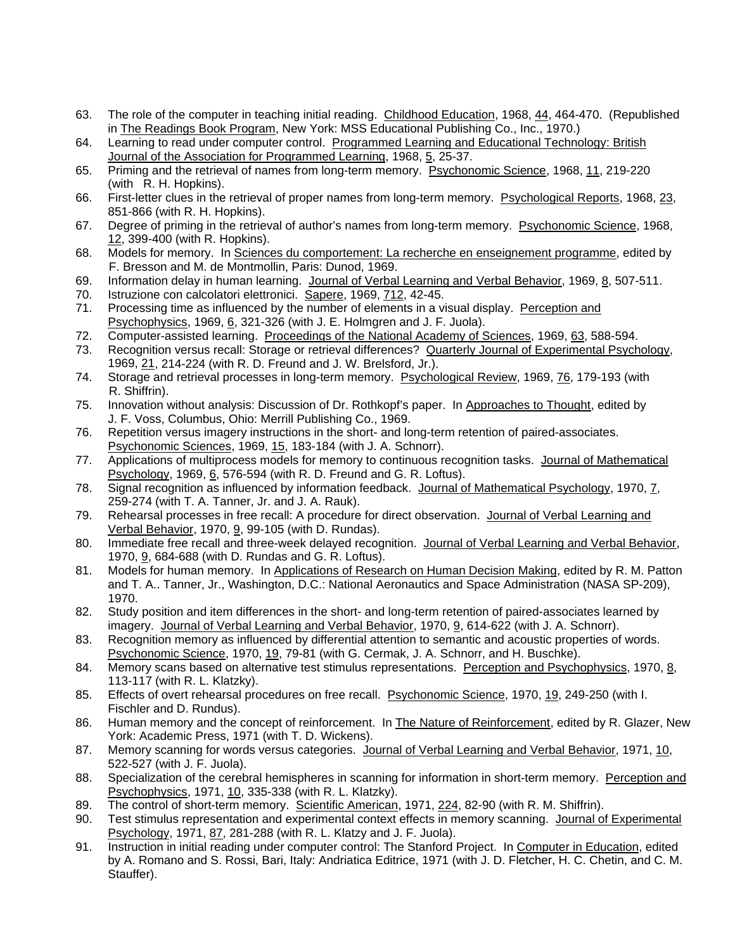- 63. The role of the computer in teaching initial reading. Childhood Education, 1968, 44, 464-470. (Republished in The Readings Book Program, New York: MSS Educational Publishing Co., Inc., 1970.)
- 64. Learning to read under computer control. Programmed Learning and Educational Technology: British Journal of the Association for Programmed Learning, 1968, 5, 25-37.
- 65. Priming and the retrieval of names from long-term memory. Psychonomic Science, 1968, 11, 219-220 (with R. H. Hopkins).
- 66. First-letter clues in the retrieval of proper names from long-term memory. Psychological Reports, 1968, 23, 851-866 (with R. H. Hopkins).
- 67. Degree of priming in the retrieval of author's names from long-term memory. Psychonomic Science, 1968, 12, 399-400 (with R. Hopkins).
- 68. Models for memory. In Sciences du comportement: La recherche en enseignement programme, edited by F. Bresson and M. de Montmollin, Paris: Dunod, 1969.
- 69. Information delay in human learning. Journal of Verbal Learning and Verbal Behavior, 1969, 8, 507-511.
- 70. Istruzione con calcolatori elettronici. Sapere, 1969, 712, 42-45.
- 71. Processing time as influenced by the number of elements in a visual display. Perception and Psychophysics, 1969, 6, 321-326 (with J. E. Holmgren and J. F. Juola).
- 72. Computer-assisted learning. Proceedings of the National Academy of Sciences, 1969, 63, 588-594.
- 73. Recognition versus recall: Storage or retrieval differences? Quarterly Journal of Experimental Psychology, 1969, 21, 214-224 (with R. D. Freund and J. W. Brelsford, Jr.).
- 74. Storage and retrieval processes in long-term memory. Psychological Review, 1969, 76, 179-193 (with R. Shiffrin).
- 75. Innovation without analysis: Discussion of Dr. Rothkopf's paper. In Approaches to Thought, edited by J. F. Voss, Columbus, Ohio: Merrill Publishing Co., 1969.
- 76. Repetition versus imagery instructions in the short- and long-term retention of paired-associates. Psychonomic Sciences, 1969, 15, 183-184 (with J. A. Schnorr).
- 77. Applications of multiprocess models for memory to continuous recognition tasks. Journal of Mathematical Psychology, 1969, 6, 576-594 (with R. D. Freund and G. R. Loftus).
- 78. Signal recognition as influenced by information feedback. Journal of Mathematical Psychology, 1970, 7, 259-274 (with T. A. Tanner, Jr. and J. A. Rauk).
- 79. Rehearsal processes in free recall: A procedure for direct observation. Journal of Verbal Learning and Verbal Behavior, 1970, 9, 99-105 (with D. Rundas).
- 80. Immediate free recall and three-week delayed recognition. Journal of Verbal Learning and Verbal Behavior, 1970, 9, 684-688 (with D. Rundas and G. R. Loftus).
- 81. Models for human memory. In Applications of Research on Human Decision Making, edited by R. M. Patton and T. A.. Tanner, Jr., Washington, D.C.: National Aeronautics and Space Administration (NASA SP-209), 1970.
- 82. Study position and item differences in the short- and long-term retention of paired-associates learned by imagery. Journal of Verbal Learning and Verbal Behavior, 1970, 9, 614-622 (with J. A. Schnorr).
- 83. Recognition memory as influenced by differential attention to semantic and acoustic properties of words. Psychonomic Science, 1970, 19, 79-81 (with G. Cermak, J. A. Schnorr, and H. Buschke).
- 84. Memory scans based on alternative test stimulus representations. Perception and Psychophysics, 1970, 8, 113-117 (with R. L. Klatzky).
- 85. Effects of overt rehearsal procedures on free recall. Psychonomic Science, 1970, 19, 249-250 (with I. Fischler and D. Rundus).
- 86. Human memory and the concept of reinforcement. In The Nature of Reinforcement, edited by R. Glazer, New York: Academic Press, 1971 (with T. D. Wickens).
- 87. Memory scanning for words versus categories. Journal of Verbal Learning and Verbal Behavior, 1971, 10, 522-527 (with J. F. Juola).
- 88. Specialization of the cerebral hemispheres in scanning for information in short-term memory. Perception and Psychophysics, 1971, 10, 335-338 (with R. L. Klatzky).
- 89. The control of short-term memory. Scientific American, 1971, 224, 82-90 (with R. M. Shiffrin).
- 90. Test stimulus representation and experimental context effects in memory scanning. Journal of Experimental Psychology, 1971, 87, 281-288 (with R. L. Klatzy and J. F. Juola).
- 91. Instruction in initial reading under computer control: The Stanford Project. In Computer in Education, edited by A. Romano and S. Rossi, Bari, Italy: Andriatica Editrice, 1971 (with J. D. Fletcher, H. C. Chetin, and C. M. Stauffer).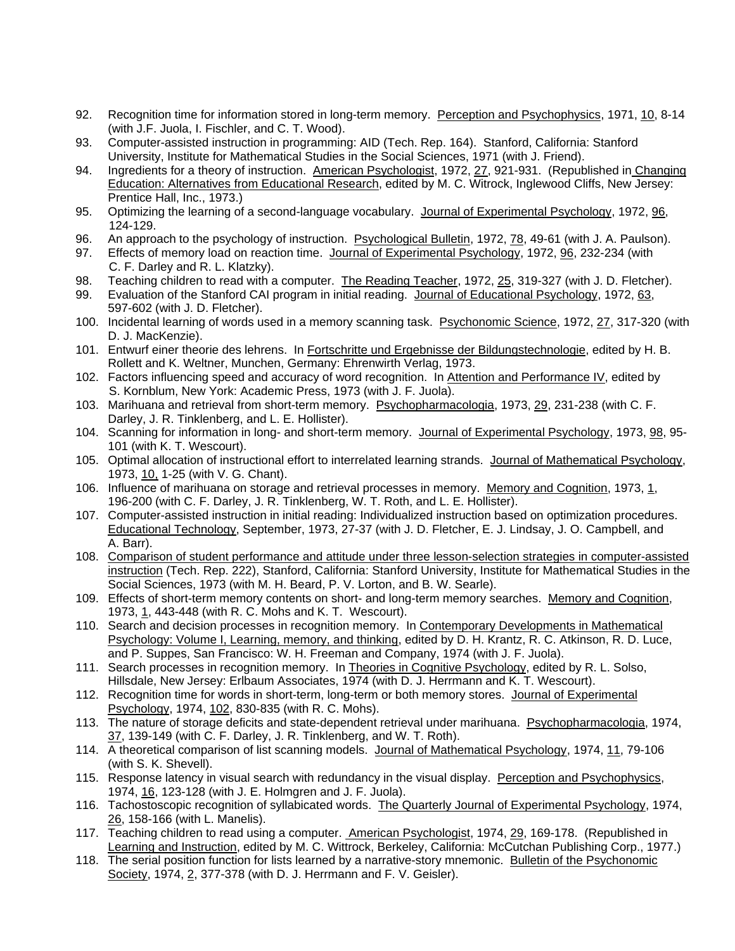- 92. Recognition time for information stored in long-term memory. Perception and Psychophysics, 1971, 10, 8-14 (with J.F. Juola, I. Fischler, and C. T. Wood).
- 93. Computer-assisted instruction in programming: AID (Tech. Rep. 164). Stanford, California: Stanford University, Institute for Mathematical Studies in the Social Sciences, 1971 (with J. Friend).
- 94. Ingredients for a theory of instruction. American Psychologist, 1972, 27, 921-931. (Republished in Changing Education: Alternatives from Educational Research, edited by M. C. Witrock, Inglewood Cliffs, New Jersey: Prentice Hall, Inc., 1973.)
- 95. Optimizing the learning of a second-language vocabulary. Journal of Experimental Psychology, 1972, 96, 124-129.
- 96. An approach to the psychology of instruction. Psychological Bulletin, 1972, 78, 49-61 (with J. A. Paulson).
- 97. Effects of memory load on reaction time. Journal of Experimental Psychology, 1972, 96, 232-234 (with C. F. Darley and R. L. Klatzky).
- 98. Teaching children to read with a computer. The Reading Teacher, 1972, 25, 319-327 (with J. D. Fletcher).
- 99. Evaluation of the Stanford CAI program in initial reading. Journal of Educational Psychology, 1972, 63, 597-602 (with J. D. Fletcher).
- 100. Incidental learning of words used in a memory scanning task. Psychonomic Science, 1972, 27, 317-320 (with D. J. MacKenzie).
- 101. Entwurf einer theorie des lehrens. In Fortschritte und Ergebnisse der Bildungstechnologie, edited by H. B. Rollett and K. Weltner, Munchen, Germany: Ehrenwirth Verlag, 1973.
- 102. Factors influencing speed and accuracy of word recognition. In Attention and Performance IV, edited by S. Kornblum, New York: Academic Press, 1973 (with J. F. Juola).
- 103. Marihuana and retrieval from short-term memory. Psychopharmacologia, 1973, 29, 231-238 (with C. F. Darley, J. R. Tinklenberg, and L. E. Hollister).
- 104. Scanning for information in long- and short-term memory. Journal of Experimental Psychology, 1973, 98, 95- 101 (with K. T. Wescourt).
- 105. Optimal allocation of instructional effort to interrelated learning strands. Journal of Mathematical Psychology, 1973, 10, 1-25 (with V. G. Chant).
- 106. Influence of marihuana on storage and retrieval processes in memory. Memory and Cognition, 1973, 1, 196-200 (with C. F. Darley, J. R. Tinklenberg, W. T. Roth, and L. E. Hollister).
- 107. Computer-assisted instruction in initial reading: Individualized instruction based on optimization procedures. Educational Technology, September, 1973, 27-37 (with J. D. Fletcher, E. J. Lindsay, J. O. Campbell, and A. Barr).
- 108. Comparison of student performance and attitude under three lesson-selection strategies in computer-assisted instruction (Tech. Rep. 222), Stanford, California: Stanford University, Institute for Mathematical Studies in the Social Sciences, 1973 (with M. H. Beard, P. V. Lorton, and B. W. Searle).
- 109. Effects of short-term memory contents on short- and long-term memory searches. Memory and Cognition, 1973, 1, 443-448 (with R. C. Mohs and K. T. Wescourt).
- 110. Search and decision processes in recognition memory. In Contemporary Developments in Mathematical Psychology: Volume I, Learning, memory, and thinking, edited by D. H. Krantz, R. C. Atkinson, R. D. Luce, and P. Suppes, San Francisco: W. H. Freeman and Company, 1974 (with J. F. Juola).
- 111. Search processes in recognition memory. In Theories in Cognitive Psychology, edited by R. L. Solso, Hillsdale, New Jersey: Erlbaum Associates, 1974 (with D. J. Herrmann and K. T. Wescourt).
- 112. Recognition time for words in short-term, long-term or both memory stores. Journal of Experimental Psychology, 1974, 102, 830-835 (with R. C. Mohs).
- 113. The nature of storage deficits and state-dependent retrieval under marihuana. Psychopharmacologia, 1974, 37, 139-149 (with C. F. Darley, J. R. Tinklenberg, and W. T. Roth).
- 114. A theoretical comparison of list scanning models. Journal of Mathematical Psychology, 1974, 11, 79-106 (with S. K. Shevell).
- 115. Response latency in visual search with redundancy in the visual display. Perception and Psychophysics, 1974, 16, 123-128 (with J. E. Holmgren and J. F. Juola).
- 116. Tachostoscopic recognition of syllabicated words. The Quarterly Journal of Experimental Psychology, 1974, 26, 158-166 (with L. Manelis).
- 117. Teaching children to read using a computer. American Psychologist, 1974, 29, 169-178. (Republished in Learning and Instruction, edited by M. C. Wittrock, Berkeley, California: McCutchan Publishing Corp., 1977.)
- 118. The serial position function for lists learned by a narrative-story mnemonic. Bulletin of the Psychonomic Society, 1974, 2, 377-378 (with D. J. Herrmann and F. V. Geisler).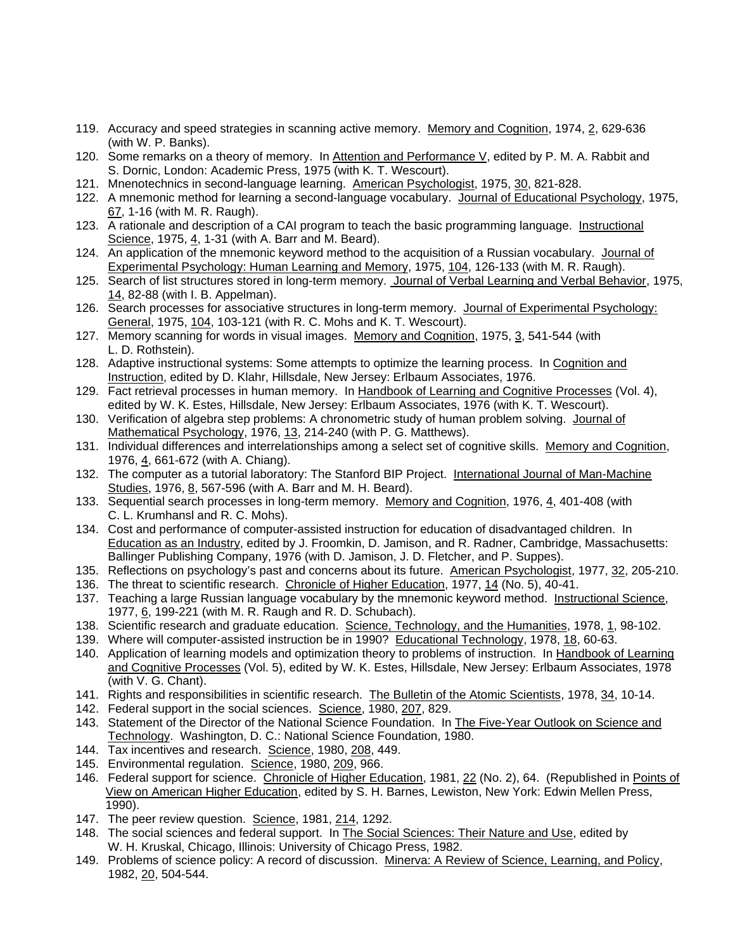- 119. Accuracy and speed strategies in scanning active memory. Memory and Cognition, 1974, 2, 629-636 (with W. P. Banks).
- 120. Some remarks on a theory of memory. In Attention and Performance V, edited by P. M. A. Rabbit and S. Dornic, London: Academic Press, 1975 (with K. T. Wescourt).
- 121. Mnenotechnics in second-language learning. American Psychologist, 1975, 30, 821-828.
- 122. A mnemonic method for learning a second-language vocabulary. Journal of Educational Psychology, 1975, 67, 1-16 (with M. R. Raugh).
- 123. A rationale and description of a CAI program to teach the basic programming language. Instructional Science, 1975, 4, 1-31 (with A. Barr and M. Beard).
- 124. An application of the mnemonic keyword method to the acquisition of a Russian vocabulary. Journal of Experimental Psychology: Human Learning and Memory, 1975, 104, 126-133 (with M. R. Raugh).
- 125. Search of list structures stored in long-term memory. Journal of Verbal Learning and Verbal Behavior, 1975, 14, 82-88 (with I. B. Appelman).
- 126. Search processes for associative structures in long-term memory. Journal of Experimental Psychology: General, 1975, 104, 103-121 (with R. C. Mohs and K. T. Wescourt).
- 127. Memory scanning for words in visual images. Memory and Cognition, 1975, 3, 541-544 (with L. D. Rothstein).
- 128. Adaptive instructional systems: Some attempts to optimize the learning process. In Cognition and Instruction, edited by D. Klahr, Hillsdale, New Jersey: Erlbaum Associates, 1976.
- 129. Fact retrieval processes in human memory. In Handbook of Learning and Cognitive Processes (Vol. 4), edited by W. K. Estes, Hillsdale, New Jersey: Erlbaum Associates, 1976 (with K. T. Wescourt).
- 130. Verification of algebra step problems: A chronometric study of human problem solving. Journal of Mathematical Psychology, 1976, 13, 214-240 (with P. G. Matthews).
- 131. Individual differences and interrelationships among a select set of cognitive skills. Memory and Cognition, 1976, 4, 661-672 (with A. Chiang).
- 132. The computer as a tutorial laboratory: The Stanford BIP Project. International Journal of Man-Machine Studies, 1976, 8, 567-596 (with A. Barr and M. H. Beard).
- 133. Sequential search processes in long-term memory. Memory and Cognition, 1976, 4, 401-408 (with C. L. Krumhansl and R. C. Mohs).
- 134. Cost and performance of computer-assisted instruction for education of disadvantaged children. In Education as an Industry, edited by J. Froomkin, D. Jamison, and R. Radner, Cambridge, Massachusetts: Ballinger Publishing Company, 1976 (with D. Jamison, J. D. Fletcher, and P. Suppes).
- 135. Reflections on psychology's past and concerns about its future. American Psychologist, 1977, 32, 205-210.
- 136. The threat to scientific research. Chronicle of Higher Education, 1977, 14 (No. 5), 40-41.
- 137. Teaching a large Russian language vocabulary by the mnemonic keyword method. Instructional Science, 1977, 6, 199-221 (with M. R. Raugh and R. D. Schubach).
- 138. Scientific research and graduate education. Science, Technology, and the Humanities, 1978, 1, 98-102.
- 139. Where will computer-assisted instruction be in 1990? Educational Technology, 1978, 18, 60-63.
- 140. Application of learning models and optimization theory to problems of instruction. In Handbook of Learning and Cognitive Processes (Vol. 5), edited by W. K. Estes, Hillsdale, New Jersey: Erlbaum Associates, 1978 (with V. G. Chant).
- 141. Rights and responsibilities in scientific research. The Bulletin of the Atomic Scientists, 1978, 34, 10-14.
- 142. Federal support in the social sciences. Science, 1980, 207, 829.
- 143. Statement of the Director of the National Science Foundation. In The Five-Year Outlook on Science and Technology. Washington, D. C.: National Science Foundation, 1980.
- 144. Tax incentives and research. Science, 1980, 208, 449.
- 145. Environmental regulation. Science, 1980, 209, 966.
- 146. Federal support for science. Chronicle of Higher Education, 1981, 22 (No. 2), 64. (Republished in Points of View on American Higher Education, edited by S. H. Barnes, Lewiston, New York: Edwin Mellen Press, 1990).
- 147. The peer review question. Science, 1981, 214, 1292.
- 148. The social sciences and federal support. In The Social Sciences: Their Nature and Use, edited by W. H. Kruskal, Chicago, Illinois: University of Chicago Press, 1982.
- 149. Problems of science policy: A record of discussion. Minerva: A Review of Science, Learning, and Policy, 1982, 20, 504-544.